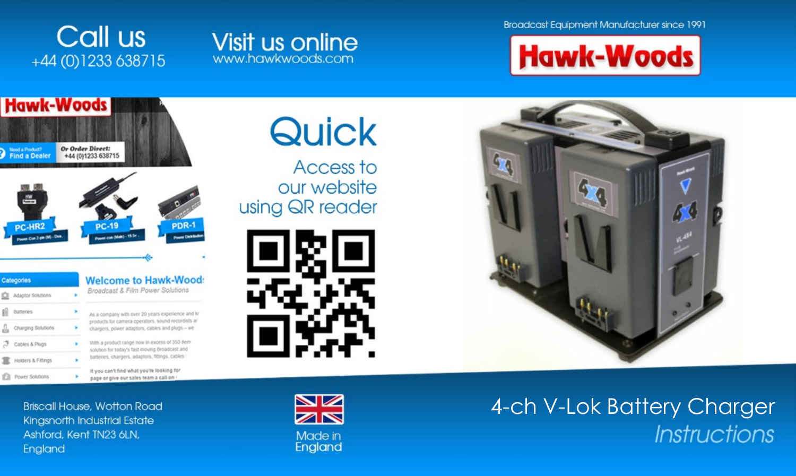**Broadcast Equipment Manufacturer since 1991** 









**Briscall House, Wotton Road** 

Kingsnorth Industrial Estate Ashford, Kent TN23 6LN, England



Access to our website using QR reader





# 4-ch V-Lok Battery Charger Instructions



Made in England